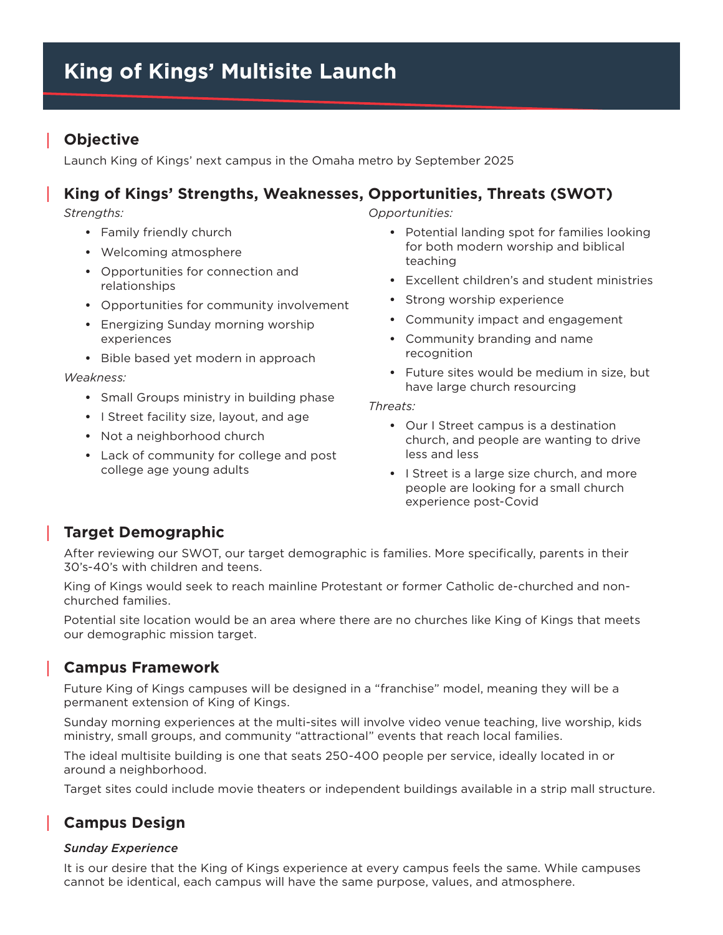## **Objective**

Launch King of Kings' next campus in the Omaha metro by September 2025

# **King of Kings' Strengths, Weaknesses, Opportunities, Threats (SWOT)**

*Strengths:*

- **•** Family friendly church
- **•** Welcoming atmosphere
- **•** Opportunities for connection and relationships
- **•** Opportunities for community involvement
- **•** Energizing Sunday morning worship experiences
- **•** Bible based yet modern in approach

#### *Weakness:*

- **•** Small Groups ministry in building phase
- **•** I Street facility size, layout, and age
- **•** Not a neighborhood church
- **•** Lack of community for college and post college age young adults

*Opportunities:*

- **•** Potential landing spot for families looking for both modern worship and biblical teaching
- **•** Excellent children's and student ministries
- **•** Strong worship experience
- **•** Community impact and engagement
- **•** Community branding and name recognition
- **•** Future sites would be medium in size, but have large church resourcing

*Threats:* 

- **•** Our I Street campus is a destination church, and people are wanting to drive less and less
- **•** I Street is a large size church, and more people are looking for a small church experience post-Covid

### **Target Demographic**

After reviewing our SWOT, our target demographic is families. More specifically, parents in their 30's-40's with children and teens.

King of Kings would seek to reach mainline Protestant or former Catholic de-churched and nonchurched families.

Potential site location would be an area where there are no churches like King of Kings that meets our demographic mission target.

### **Campus Framework**

Future King of Kings campuses will be designed in a "franchise" model, meaning they will be a permanent extension of King of Kings.

Sunday morning experiences at the multi-sites will involve video venue teaching, live worship, kids ministry, small groups, and community "attractional" events that reach local families.

The ideal multisite building is one that seats 250-400 people per service, ideally located in or around a neighborhood.

Target sites could include movie theaters or independent buildings available in a strip mall structure.

# **Campus Design**

#### *Sunday Experience*

It is our desire that the King of Kings experience at every campus feels the same. While campuses cannot be identical, each campus will have the same purpose, values, and atmosphere.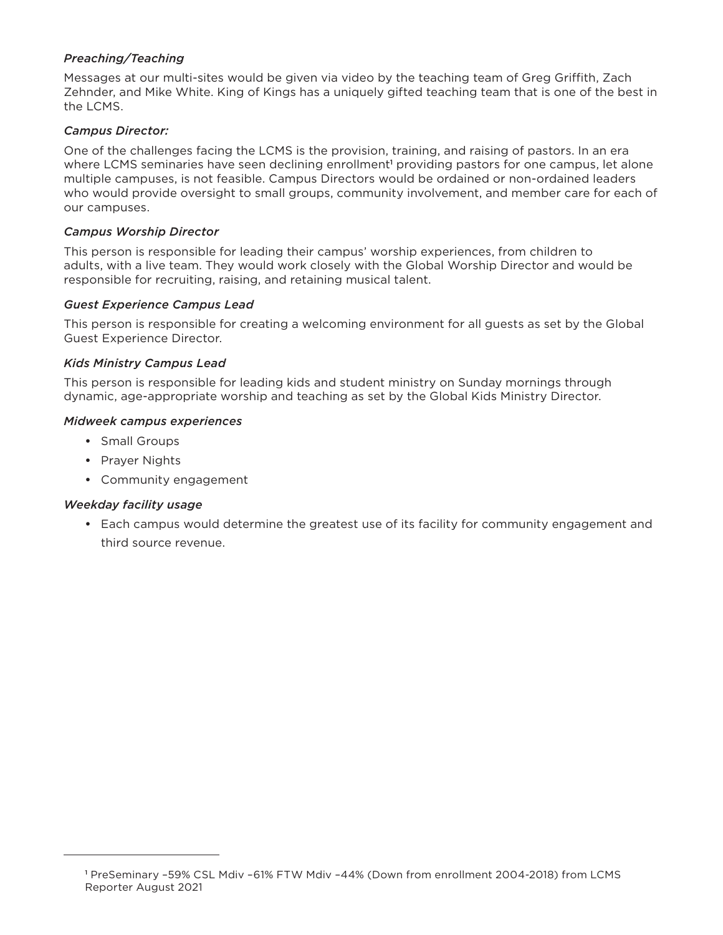#### *Preaching/Teaching*

Messages at our multi-sites would be given via video by the teaching team of Greg Griffith, Zach Zehnder, and Mike White. King of Kings has a uniquely gifted teaching team that is one of the best in the LCMS.

#### *Campus Director:*

One of the challenges facing the LCMS is the provision, training, and raising of pastors. In an era where LCMS seminaries have seen declining enrollment<sup>1</sup> providing pastors for one campus, let alone multiple campuses, is not feasible. Campus Directors would be ordained or non-ordained leaders who would provide oversight to small groups, community involvement, and member care for each of our campuses.

#### *Campus Worship Director*

This person is responsible for leading their campus' worship experiences, from children to adults, with a live team. They would work closely with the Global Worship Director and would be responsible for recruiting, raising, and retaining musical talent.

#### *Guest Experience Campus Lead*

This person is responsible for creating a welcoming environment for all guests as set by the Global Guest Experience Director.

#### *Kids Ministry Campus Lead*

This person is responsible for leading kids and student ministry on Sunday mornings through dynamic, age-appropriate worship and teaching as set by the Global Kids Ministry Director.

#### *Midweek campus experiences*

- **•** Small Groups
- **•** Prayer Nights
- **•** Community engagement

#### *Weekday facility usage*

**•** Each campus would determine the greatest use of its facility for community engagement and third source revenue.